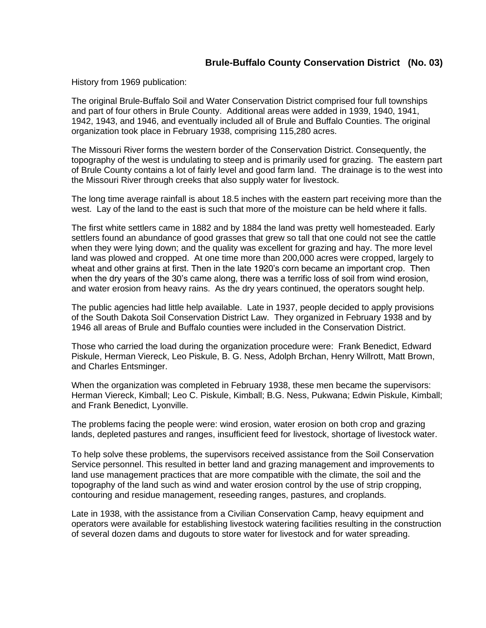## **Brule-Buffalo County Conservation District (No. 03)**

History from 1969 publication:

The original Brule-Buffalo Soil and Water Conservation District comprised four full townships and part of four others in Brule County. Additional areas were added in 1939, 1940, 1941, 1942, 1943, and 1946, and eventually included all of Brule and Buffalo Counties. The original organization took place in February 1938, comprising 115,280 acres.

The Missouri River forms the western border of the Conservation District. Consequently, the topography of the west is undulating to steep and is primarily used for grazing. The eastern part of Brule County contains a lot of fairly level and good farm land. The drainage is to the west into the Missouri River through creeks that also supply water for livestock.

The long time average rainfall is about 18.5 inches with the eastern part receiving more than the west. Lay of the land to the east is such that more of the moisture can be held where it falls.

The first white settlers came in 1882 and by 1884 the land was pretty well homesteaded. Early settlers found an abundance of good grasses that grew so tall that one could not see the cattle when they were lying down; and the quality was excellent for grazing and hay. The more level land was plowed and cropped. At one time more than 200,000 acres were cropped, largely to wheat and other grains at first. Then in the late 1920's corn became an important crop. Then when the dry years of the 30's came along, there was a terrific loss of soil from wind erosion, and water erosion from heavy rains. As the dry years continued, the operators sought help.

The public agencies had little help available. Late in 1937, people decided to apply provisions of the South Dakota Soil Conservation District Law. They organized in February 1938 and by 1946 all areas of Brule and Buffalo counties were included in the Conservation District.

Those who carried the load during the organization procedure were: Frank Benedict, Edward Piskule, Herman Viereck, Leo Piskule, B. G. Ness, Adolph Brchan, Henry Willrott, Matt Brown, and Charles Entsminger.

When the organization was completed in February 1938, these men became the supervisors: Herman Viereck, Kimball; Leo C. Piskule, Kimball; B.G. Ness, Pukwana; Edwin Piskule, Kimball; and Frank Benedict, Lyonville.

The problems facing the people were: wind erosion, water erosion on both crop and grazing lands, depleted pastures and ranges, insufficient feed for livestock, shortage of livestock water.

To help solve these problems, the supervisors received assistance from the Soil Conservation Service personnel. This resulted in better land and grazing management and improvements to land use management practices that are more compatible with the climate, the soil and the topography of the land such as wind and water erosion control by the use of strip cropping, contouring and residue management, reseeding ranges, pastures, and croplands.

Late in 1938, with the assistance from a Civilian Conservation Camp, heavy equipment and operators were available for establishing livestock watering facilities resulting in the construction of several dozen dams and dugouts to store water for livestock and for water spreading.